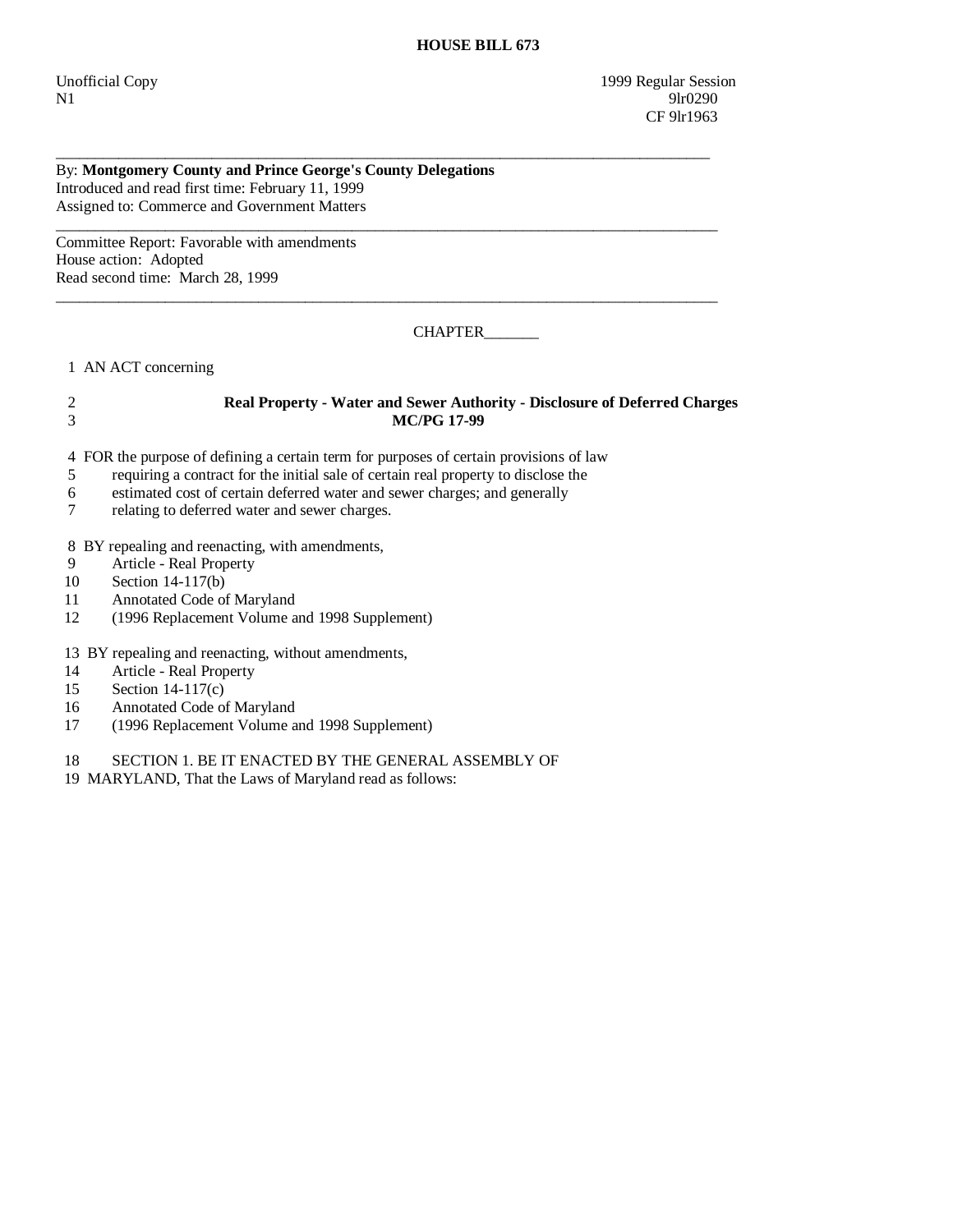Unofficial Copy 1999 Regular Session N1 9lr0290 CF 9lr1963

By: **Montgomery County and Prince George's County Delegations**  Introduced and read first time: February 11, 1999 Assigned to: Commerce and Government Matters

Committee Report: Favorable with amendments House action: Adopted Read second time: March 28, 1999

CHAPTER\_\_\_\_\_\_\_

1 AN ACT concerning

## 2 **Real Property - Water and Sewer Authority - Disclosure of Deferred Charges**  3 **MC/PG 17-99**

\_\_\_\_\_\_\_\_\_\_\_\_\_\_\_\_\_\_\_\_\_\_\_\_\_\_\_\_\_\_\_\_\_\_\_\_\_\_\_\_\_\_\_\_\_\_\_\_\_\_\_\_\_\_\_\_\_\_\_\_\_\_\_\_\_\_\_\_\_\_\_\_\_\_\_\_\_\_\_\_\_\_\_\_

\_\_\_\_\_\_\_\_\_\_\_\_\_\_\_\_\_\_\_\_\_\_\_\_\_\_\_\_\_\_\_\_\_\_\_\_\_\_\_\_\_\_\_\_\_\_\_\_\_\_\_\_\_\_\_\_\_\_\_\_\_\_\_\_\_\_\_\_\_\_\_\_\_\_\_\_\_\_\_\_\_\_\_\_\_

\_\_\_\_\_\_\_\_\_\_\_\_\_\_\_\_\_\_\_\_\_\_\_\_\_\_\_\_\_\_\_\_\_\_\_\_\_\_\_\_\_\_\_\_\_\_\_\_\_\_\_\_\_\_\_\_\_\_\_\_\_\_\_\_\_\_\_\_\_\_\_\_\_\_\_\_\_\_\_\_\_\_\_\_\_

4 FOR the purpose of defining a certain term for purposes of certain provisions of law

- 5 requiring a contract for the initial sale of certain real property to disclose the
- 6 estimated cost of certain deferred water and sewer charges; and generally
- 7 relating to deferred water and sewer charges.

8 BY repealing and reenacting, with amendments,

- 9 Article Real Property<br>10 Section 14-117(b)
- Section  $14-117(b)$
- 11 Annotated Code of Maryland
- 12 (1996 Replacement Volume and 1998 Supplement)

13 BY repealing and reenacting, without amendments,

- 14 Article Real Property
- 15 Section 14-117(c)
- 16 Annotated Code of Maryland
- 17 (1996 Replacement Volume and 1998 Supplement)

18 SECTION 1. BE IT ENACTED BY THE GENERAL ASSEMBLY OF

19 MARYLAND, That the Laws of Maryland read as follows: